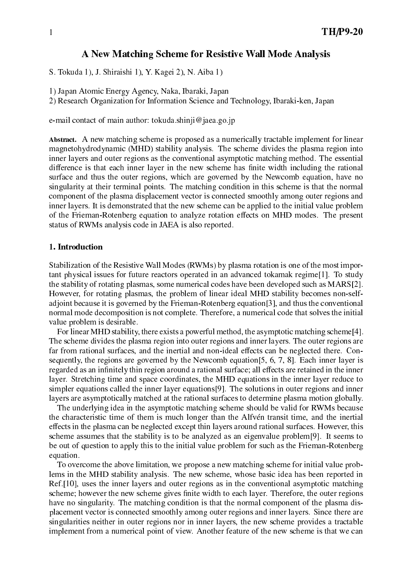# A New Mat
hing S
heme for Resistive Wall Mode Analysis

S. Tokuda 1), J. Shiraishi 1), Y. Kagei 2), N. Aiba 1)

- 1) Japan Atomi Energy Agen
y, Naka, Ibaraki, Japan
- 2) Resear
h Organization for Information S
ien
e and Te
hnology, Ibaraki-ken, Japan

 $e$ -mail contact of main author: tokuda.shinji@jaea.go.jp

Abstra
t. A new mat
hing s
heme is proposed as a numeri
ally tra
table implement for linear magnetohydrodynamic (MHD) stability analysis. The scheme divides the plasma region into inner layers and outer regions as the conventional asymptotic matching method. The essential ensive is that this many capture with internal many constant continuing the rational surface and thus the outer regions, which are governed by the Newcomb equation, have no singularity at their terminal points. The matching condition in this scheme is that the normal omponent of the plasma displa
ement ve
tor is onne
ted smoothly among outer regions and inner layers. It is demonstrated that the new s
heme an be applied to the initial value problem of the Frieman-Rotenberg equation to analyze rotation effects on MHD modes. The present status of RWMs analysis ode in JAEA is also reported.

# 1. Introduction

Stabilization of the Resistive Wall Modes (RWMs) by plasma rotation is one of the most important physical issues for future reactors operated in an advanced tokamak regime<sup>[1]</sup>. To study the stability of rotating plasmas, some numerical codes have been developed such as MARS[2]. However, for rotating plasmas, the problem of linear ideal MHD stability becomes non-selfadioint because it is governed by the Frieman-Rotenberg equation [3], and thus the conventional normal mode decomposition is not complete. Therefore, a numerical code that solves the initial value problem is desirable.

For linear MHD stability, there exists a powerful method, the asymptotic matching scheme<sup>[4]</sup>. The s
heme divides the plasma region into outer regions and inner layers. The outer regions are far from rational surfaces, and the inertial and non-ideal effects can be neglected there. Consequently, the regions are governed by the Newcomb equation  $[5, 6, 7, 8]$ . Each inner layer is region as an in-ministry thin region around a redistry, we charge in the industry and in the inner layer. Stretching time and space coordinates, the MHD equations in the inner layer reduce to simpler equations called the inner layer equations[9]. The solutions in outer regions and inner layers are asymptotically matched at the rational surfaces to determine plasma motion globally.

The underlying idea in the asymptotic matching scheme should be valid for RWMs because the characteristic time of them is much longer than the Alfvén transit time, and the inertial effects in the plasma can be neglected except thin layers around rational surfaces. However, this scheme assumes that the stability is to be analyzed as an eigenvalue problem[9]. It seems to be out of question to apply this to the initial value problem for such as the Frieman-Rotenberg equation.

To overcome the above limitation, we propose a new matching scheme for initial value problems in the MHD stability analysis. The new scheme, whose basic idea has been reported in  $Ref.[10]$ , uses the inner layers and outer regions as in the conventional asymptotic matching s
heme; however the new s
heme gives -nite width to ea
h layer. Therefore, the outer regions have no singularity. The matching condition is that the normal component of the plasma displacement vector is connected smoothly among outer regions and inner layers. Since there are singularities neither in outer regions nor in inner layers, the new scheme provides a tractable implement from a numerical point of view. Another feature of the new scheme is that we can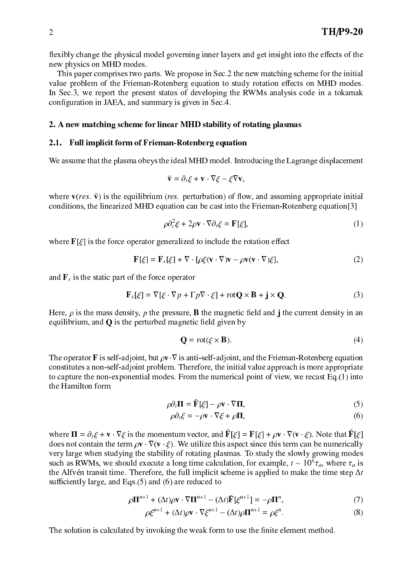flexibly change the physical model governing inner layers and get insight into the effects of the new physi
s on MHD modes.

This paper comprises two parts. We propose in Sec. 2 the new matching scheme for the initial This paper omprises two parts. We propose in Se
.2 the new mat
hing s
heme for the initial value problem of the Frieman-Rotenberg equation to study rotation effects on MHD modes. In Sec.3, we report the present status of developing the RWMs analysis code in a tokamak on- guration in JAEA, and summary is given in Section 1, and summary is given in Section 1, and summary is give

## 2. A new mat
hing s
heme for linear MHD stability of rotating plasmas

# 2.1. Full implicit form of Frieman-Rotenberg equation

We assume that the plasma obeys the ideal MHD model. Introducing the Lagrange displacement

$$
\tilde{\mathbf{v}} = \partial_t \xi + \mathbf{v} \cdot \nabla \xi - \xi \nabla \mathbf{v},
$$

where  $\mathbf{v}(res. \mathbf{\tilde{v}})$  is the equilibrium (*res.* perturbation) of flow, and assuming appropriate initial conditions, the linearized MHD equation can be cast into the Frieman-Rotenberg equation<sup>[3]</sup>

$$
\rho \partial_t^2 \xi + 2\rho \mathbf{v} \cdot \nabla \partial_t \xi = \mathbf{F}[\xi],\tag{1}
$$

where  $F[\xi]$  is the force operator generalized to include the rotation effect

$$
\mathbf{F}[\xi] = \mathbf{F}_s[\xi] + \nabla \cdot [\rho \xi(\mathbf{v} \cdot \nabla)\mathbf{v} - \rho \mathbf{v}(\mathbf{v} \cdot \nabla)\xi],\tag{2}
$$

and  $\mathbf{F}_s$  is the static part of the force operator

$$
\mathbf{F}_s[\xi] = \nabla[\xi \cdot \nabla p + \Gamma p \nabla \cdot \xi] + \text{rot}\mathbf{Q} \times \mathbf{B} + \mathbf{j} \times \mathbf{Q}.
$$
 (3)

eld and mass density, p the pressure, B the mangiorer density into and density in and equilibrium, and a complete magnetic matrix  $\mathbf{q}$  is the perturb

$$
\mathbf{Q} = \text{rot}(\xi \times \mathbf{B}).\tag{4}
$$

The operator **F** is self-adjoint, but  $\rho v \cdot \nabla$  is anti-self-adjoint, and the Frieman-Rotenberg equation constitutes a non-self-adjoint problem. Therefore, the initial value approach is more appropriate to capture the non-exponential modes. From the numerical point of view, we recast Eq.(1) into the Hamilton form

$$
\rho \partial_t \mathbf{\Pi} = \tilde{\mathbf{F}}[\xi] - \rho \mathbf{v} \cdot \nabla \mathbf{\Pi},\tag{5}
$$

$$
\rho \partial_t \xi = -\rho \mathbf{v} \cdot \nabla \xi + \rho \mathbf{\Pi},\tag{6}
$$

where  $\mathbf{H} = \partial_{\xi} + \mathbf{v} + \mathbf{v}\xi$  is the momentum vector, and  $\mathbf{F}[\xi] = \mathbf{F}[\xi] + p\mathbf{v} + \mathbf{v}(\mathbf{v} + \xi)$ . Note that  $\mathbf{F}[\xi]$ does not contain the term  $\rho v \cdot \nabla (v \cdot \xi)$ . We utilize this aspect since this term can be numerically very large when studying the stability of rotating plasmas. To study the slowly growing modes such as RW Ms, we should execute a long time calculation, for example,  $t \sim 10^7 \tau_a$ , where  $\tau_a$  is the Alfvén transit time. Therefore, the full implicit scheme is applied to make the time step  $\Delta t$ sufficiently large, and  $E(s)$  and  $(6)$  are reduced to

$$
\rho \mathbf{\Pi}^{n+1} + (\Delta t) \rho \mathbf{v} \cdot \nabla \mathbf{\Pi}^{n+1} - (\Delta t) \tilde{\mathbf{F}} [\xi^{n+1}] = -\rho \mathbf{\Pi}^n, \tag{7}
$$

$$
\rho \xi^{n+1} + (\Delta t) \rho \mathbf{v} \cdot \nabla \xi^{n+1} - (\Delta t) \rho \mathbf{\Pi}^{n+1} = \rho \xi^n.
$$
 (8)

The solution is al
ulated by invoking the weak form to use the -nite element method.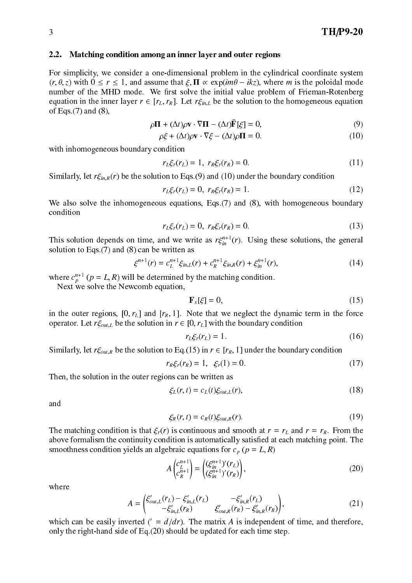## 2.2. Matching condition among an inner layer and outer regions

For simplicity, we consider a one-dimensional problem in the cylindrical coordinate system  $(r, \theta, z)$  with  $0 \le r \le 1$ , and assume that  $\xi$ ,  $\Pi \propto \exp(im\theta - ikz)$ , where m is the poloidal mode number of the MHD mode. We -rst solve the initial value problem of Frieman-Rotenberg equation in the inner layer  $r \in [r_L, r_R]$ . Let  $r\xi_{in,L}$  be the solution to the homogeneous equation of Eqs.(7) and (8),

$$
\rho \mathbf{\Pi} + (\Delta t) \rho \mathbf{v} \cdot \nabla \mathbf{\Pi} - (\Delta t) \mathbf{F}[\xi] = 0,
$$
\n(9)

$$
\rho \xi + (\Delta t) \rho \mathbf{v} \cdot \nabla \xi - (\Delta t) \rho \mathbf{\Pi} = 0. \tag{10}
$$

with inhomogeneous boundary condition

$$
r_L \xi_r(r_L) = 1, \ r_R \xi_r(r_R) = 0. \tag{11}
$$

Similarly, let  $r \xi_{in,R}(r)$  be the solution to Eqs.(9) and (10) under the boundary condition

$$
r_L \xi_r(r_L) = 0, \ r_R \xi_r(r_R) = 1. \tag{12}
$$

We also solve the inhomogeneous equations, Eqs. (7) and (8), with homogeneous boundary ondition

$$
r_L \xi_r(r_L) = 0, \ r_R \xi_r(r_R) = 0. \tag{13}
$$

This solution depends on time, and we write as  $r_{\xi_m}$  (r). Using these solutions, the general solution to Eqs. $(7)$  and  $(8)$  can be written as

$$
\xi^{n+1}(r) = c_L^{n+1} \xi_{in,L}(r) + c_R^{n+1} \xi_{in,R}(r) + \xi_{in}^{n+1}(r), \tag{14}
$$

where  $c_n^+$  (  $p = L, K$ ) will be determined by the matching condition.

next we so the New Solve the New September,

<sup>p</sup>

$$
\mathbf{F}_s[\xi] = 0,\tag{15}
$$

in the outer regions,  $[0, r_L]$  and  $[r_R, 1]$ . Note that we neglect the dynamic term in the force operator. Let  $r \xi_{out,L}$  be the solution in  $r \in [0, r<sub>L</sub>]$  with the boundary condition

$$
r_L \xi_r(r_L) = 1. \tag{16}
$$

Similarly, let  $r\xi_{out,R}$  be the solution to Eq.(15) in  $r \in [r_R, 1]$  under the boundary condition

$$
r_R \xi_r(r_R) = 1, \ \xi_r(1) = 0. \tag{17}
$$

Then, the solution in the outer regions can be written as

$$
\xi_L(r,t) = c_L(t)\xi_{out,L}(r),\tag{18}
$$

and

$$
\xi_R(r,t) = c_R(t)\xi_{out,R}(r). \tag{19}
$$

The matching condition is that  $\xi_r(r)$  is continuous and smooth at  $r = r_L$  and  $r = r_R$ . From the above formalism the ontinuity ondition is automati
ally satis-ed at ea
h mat
hing point. The smoothness condition yields an algebraic equations for  $c_p$  ( $p = L, R$ )

$$
A \begin{pmatrix} c_{L}^{n+1} \\ c_{R}^{n+1} \end{pmatrix} = \begin{pmatrix} (\xi_{in}^{n+1})'(r_{L}) \\ (\xi_{in}^{n+1})'(r_{R}) \end{pmatrix},
$$
(20)

where

$$
A = \begin{pmatrix} \xi'_{out,L}(r_L) - \xi'_{in,L}(r_L) & -\xi'_{in,R}(r_L) \\ -\xi'_{in,L}(r_R) & \xi'_{out,R}(r_R) - \xi'_{in,R}(r_R) \end{pmatrix},
$$
(21)

which can be easily inverted (  $=$   $a/ar$ ). The matrix A is independent of time, and therefore, only the right-hand side of Eq. $(20)$  should be updated for each time step.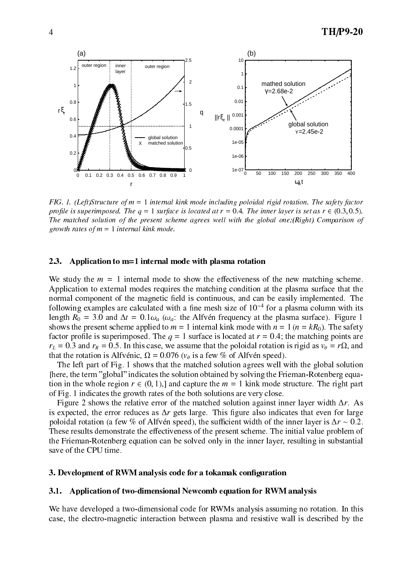

FIG. 1. (Left)Structure of  $m = 1$  internal kink mode including poloidal rigid rotation. The safety factor FIG. 1. (Left)Stru
ture of m <sup>=</sup> <sup>1</sup> internal kink mode in
luding poloidal rigid rotation. The safety fa
tor projus is superimposed. The is set at results is defined at r and the inner layer is set as required the  $\mu$ The matched solution of the present scheme agrees well with the global one; (Right) Comparison of growth rates of  $m = 1$  internal kink mode.

# 2.3. Appli
ation to m=1 internal mode with plasma rotation

We study the  $m = 1$  internal mode to show the effectiveness of the new matching scheme. Application to external modes requires the matching condition at the plasma surface that the normal omponent of the magneti -eld is ontinuous, and an be easily implemented. The following examples are calculated with a line mesh size of TO  $\,$  for a plasma column with its length  $R_0 = 3.0$  and  $\Delta t = 0.1 \omega_a$  ( $\omega_a$ : the Alfvén frequency at the plasma surface). Figure 1 shows the present scheme applied to  $m = 1$  internal kink mode with  $n = 1$  ( $n = kR_0$ ). The safety fa
tor pro-le is superimposed. The <sup>q</sup> <sup>=</sup> 1 surfa
e is lo
ated at <sup>r</sup> <sup>=</sup> 0:4; the mat
hing points are r<sub>L</sub> = 0:3 and rR = 0:5. In this this case, we assume that the poloidal rotation is rigid as v  $\mu$  = r = r, and r that the rotation is Alfv ´eni
, <sup>=</sup> 0:076 (v is <sup>a</sup> few % of Alfv ´en speed).

The left part of Fig. 1 shows that the matched solution agrees well with the global solution [here, the term "global" indicates the solution obtained by solving the Frieman-Rotenberg equation in the whole region  $r \in (0, 1)$ , and capture the  $m = 1$  kink mode structure. The right part of Fig. 1 indi
ates the growth rates of the both solutions are very lose.

Figure 2 shows the relative error of the matched solution against inner layer width  $\Delta r$ . As is expe
ted, the error redu
es as r gets large. This -gure also indi
ates that even for large poloidal rotation (a few % of Alfvén speed), the sufficient width of the inner layer is  $\Delta r \sim 0.2$ . These results demonstrate the effectiveness of the present scheme. The initial value problem of the Frieman-Rotenberg equation can be solved only in the inner layer, resulting in substantial save of the CPU time.

### 3. Development of RWM analysis ode for a tokamak on-guration

#### $3.1.$ Application of two-dimensional Newcomb equation for RWM analysis

We have developed a two-dimensional code for RWMs analysis assuming no rotation. In this case, the electro-magnetic interaction between plasma and resistive wall is described by the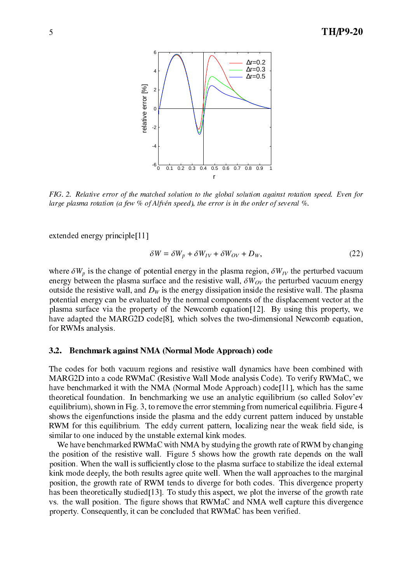

FIG. 2. Relative error of the matched solution to the global solution against rotation speed. Even for large plasma rotation (a few  $%$  of Alfvén speed), the error is in the order of several  $%$ .

extended energy principle[11]

$$
\delta W = \delta W_p + \delta W_{IV} + \delta W_{OV} + D_W, \qquad (22)
$$

where  $\delta W_p$  is the change of potential energy in the plasma region,  $\delta W_{IV}$  the perturbed vacuum energy between the plasma surface and the resistive wall,  $\delta W_{OV}$  the perturbed vacuum energy outside the resistive wall, and  $D<sub>W</sub>$  is the energy dissipation inside the resistive wall. The plasma potential energy an be evaluated by the normal omponents of the displa
ement ve
tor at the plasma surface via the property of the Newcomb equation [12]. By using this property, we have adapted the MARG2D code<sup>[8]</sup>, which solves the two-dimensional Newcomb equation, for RWMs analysis.

# 3.2. Ben
hmark against NMA (Normal Mode Approa
h) ode

The codes for both vacuum regions and resistive wall dynamics have been combined with MARG2D into a ode RWMaC (Resistive Wall Mode analysis Code). To verify RWMaC, we have benchmarked it with the NMA (Normal Mode Approach) code<sup>[11]</sup>, which has the same theoreti
al foundation. In ben
hmarking we use an analyti equilibrium (so alled Solov'ev equilibrium), shown in Fig. 3, to remove the error stemming from numerical equilibria. Figure 4 shows the eigenfunctions inside the plasma and the eddy current pattern induced by unstable RWM for this equilibrium. The eddy urrent pattern, lo
alizing near the weak -eld side, is similar to one indu
ed by the unstable external kink modes.

We have benchmarked RWMaC with NMA by studying the growth rate of RWM by changing the position of the resistive wall. Figure 5 shows how the growth rate depends on the wall position. When the wall is sufficiently close to the plasma surface to stabilize the ideal external kink mode deeply, the both results agree quite well. When the wall approa
hes to the marginal position, the growth rate of RWM tends to diverge for both odes. This divergen
e property has been theoretically studied [13]. To study this aspect, we plot the inverse of the growth rate vs. the wall position. The eights that is divergence that a well shows the eighth  $\alpha$ property. Consequently, it an be on
luded that RWMaC has been veri-ed.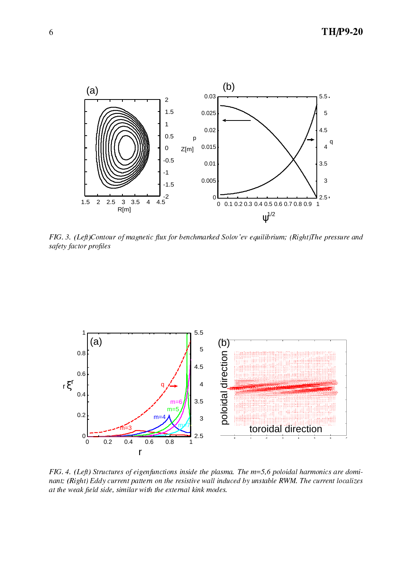

FIG. 3. (Left)Contour of magnetic flux for benchmarked Solov'ev equilibrium; (Right)The pressure and safety fa
tor pro-les



FIG. 4. (Left) Structures of eigenfunctions inside the plasma. The m=5,6 poloidal harmonics are dominant; (Right) Eddy current pattern on the resistive wall induced by unstable RWM. The current localizes at the weak press side, side, with the end and the external distribution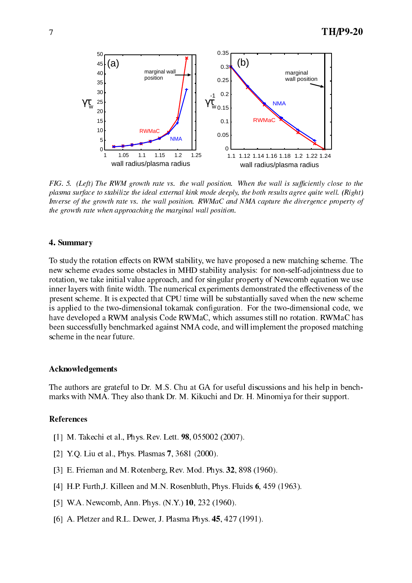

FIG. 5. (Left) The RWM growth rate vs. the wall position. When the wall is sufficiently close to the plasma surfa
e to stabilize the ideal external kink mode deeply, the both results agree quite well. (Right) Inverse of the growth rate vs. the wall position. RWMaC and NMA capture the divergence property of the growth rate when approaching the marginal wall position.

## 4. Summary

To study the rotation effects on RWM stability, we have proposed a new matching scheme. The new scheme evades some obstacles in MHD stability analysis: for non-self-adjointness due to rotation, we take initial value approach, and for singular property of Newcomb equation we use inner layers with - nite with - nite with - nite with - nite with - nite with - nite with - nite with - nite w present s
heme. It is expe
ted that CPU time will be substantially saved when the new s
heme is applied to the two-dimensional tokamak on-guration. For the two-dimensional ode, we have developed a RWM analysis Code RWMaC, whi
h assumes still no rotation. RWMaC has been successfully benchmarked against NMA code, and will implement the proposed matching s
heme in the near future.

## **Acknowledgements**

The authors are grateful to Dr. M.S. Chu at GA for useful discussions and his help in benchmarks with NMA. They also thank Dr. M. Kiku
hi and Dr. H. Minomiya for their support.

## Referen
es

- [1] M. Takechi et al., Phys. Rev. Lett. **98**, 055002 (2007).
- [2] Y.Q. Liu et al., Phys. Plasmas 7, 3681 (2000).
- [3] E. Frieman and M. Rotenberg, Rev. Mod. Phys. 32, 898 (1960).
- [4] H.P. Furth, J. Killeen and M.N. Rosenbluth, Phys. Fluids  $6, 459$  (1963).
- $[5]$  W.A. Newcomb, Ann. Phys.  $(N.Y.)$  10, 232 (1960).
- [6] A. Pletzer and R.L. Dewer, J. Plasma Phys.  $45, 427$  (1991).